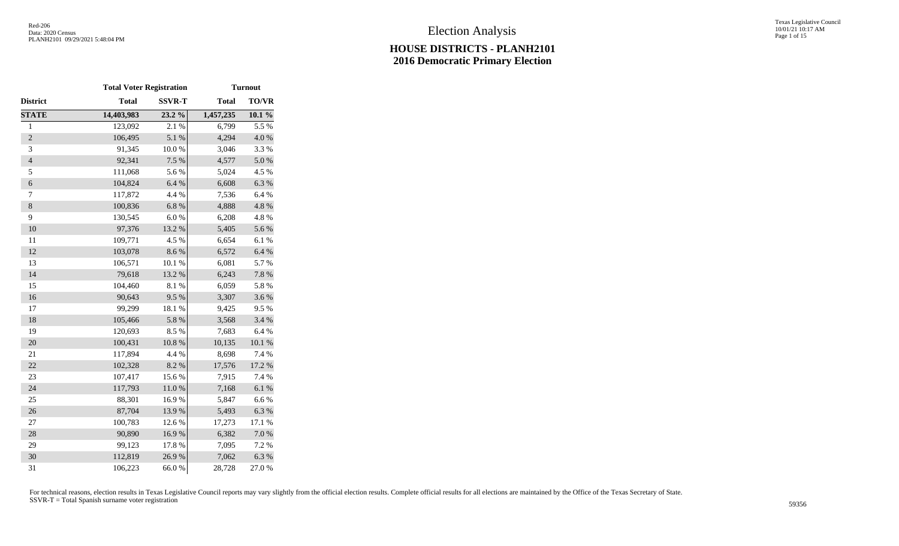Texas Legislative Council 10/01/21 10:17 AM Page 1 of 15

|                  | <b>Total Voter Registration</b> |               | <b>Turnout</b> |           |  |  |  |  |  |
|------------------|---------------------------------|---------------|----------------|-----------|--|--|--|--|--|
| District         | <b>Total</b>                    | <b>SSVR-T</b> | <b>Total</b>   | TO/VR     |  |  |  |  |  |
| <b>STATE</b>     | 14,403,983                      | 23.2 %        | 1,457,235      | $10.1 \%$ |  |  |  |  |  |
| $\,1$            | 123,092                         | 2.1 %         | 6,799          | 5.5 %     |  |  |  |  |  |
| $\overline{c}$   | 106,495                         | 5.1 %         | 4,294          | 4.0 %     |  |  |  |  |  |
| 3                | 91,345                          | 10.0%         | 3,046          | 3.3%      |  |  |  |  |  |
| $\overline{4}$   | 92,341                          | 7.5 %         | 4,577          | $5.0\ \%$ |  |  |  |  |  |
| 5                | 111,068                         | 5.6%          | 5,024          | 4.5 %     |  |  |  |  |  |
| $\boldsymbol{6}$ | 104,824                         | 6.4 %         | 6,608          | 6.3 %     |  |  |  |  |  |
| 7                | 117,872                         | 4.4 %         | 7,536          | 6.4%      |  |  |  |  |  |
| $8\,$            | 100,836                         | 6.8%          | 4,888          | 4.8 %     |  |  |  |  |  |
| 9                | 130,545                         | $6.0~\%$      | 6,208          | 4.8%      |  |  |  |  |  |
| 10               | 97,376                          | 13.2 %        | 5,405          | 5.6%      |  |  |  |  |  |
| 11               | 109,771                         | 4.5 %         | 6,654          | 6.1%      |  |  |  |  |  |
| 12               | 103,078                         | 8.6 %         | 6,572          | $6.4~\%$  |  |  |  |  |  |
| 13               | 106,571                         | 10.1 %        | 6,081          | 5.7%      |  |  |  |  |  |
| 14               | 79,618                          | 13.2 %        | 6,243          | 7.8 %     |  |  |  |  |  |
| 15               | 104,460                         | 8.1%          | 6,059          | 5.8%      |  |  |  |  |  |
| 16               | 90,643                          | 9.5%          | 3,307          | 3.6%      |  |  |  |  |  |
| 17               | 99,299                          | 18.1 %        | 9,425          | 9.5%      |  |  |  |  |  |
| 18               | 105,466                         | 5.8 %         | 3,568          | 3.4 %     |  |  |  |  |  |
| 19               | 120,693                         | 8.5%          | 7,683          | 6.4%      |  |  |  |  |  |
| 20               | 100,431                         | $10.8 \%$     | 10,135         | $10.1~\%$ |  |  |  |  |  |
| 21               | 117,894                         | 4.4 %         | 8,698          | 7.4 %     |  |  |  |  |  |
| 22               | 102,328                         | 8.2 %         | 17,576         | 17.2 %    |  |  |  |  |  |
| 23               | 107,417                         | 15.6%         | 7,915          | 7.4 %     |  |  |  |  |  |
| 24               | 117,793                         | $11.0\ \%$    | 7,168          | $6.1~\%$  |  |  |  |  |  |
| 25               | 88,301                          | 16.9%         | 5,847          | 6.6%      |  |  |  |  |  |
| 26               | 87,704                          | 13.9%         | 5,493          | 6.3%      |  |  |  |  |  |
| 27               | 100,783                         | 12.6 %        | 17,273         | 17.1 %    |  |  |  |  |  |
| 28               | 90,890                          | 16.9%         | 6,382          | $7.0\ \%$ |  |  |  |  |  |
| 29               | 99,123                          | 17.8 %        | 7,095          | 7.2 %     |  |  |  |  |  |
| 30               | 112,819                         | 26.9%         | 7,062          | 6.3%      |  |  |  |  |  |
| 31               | 106,223                         | 66.0%         | 28,728         | 27.0%     |  |  |  |  |  |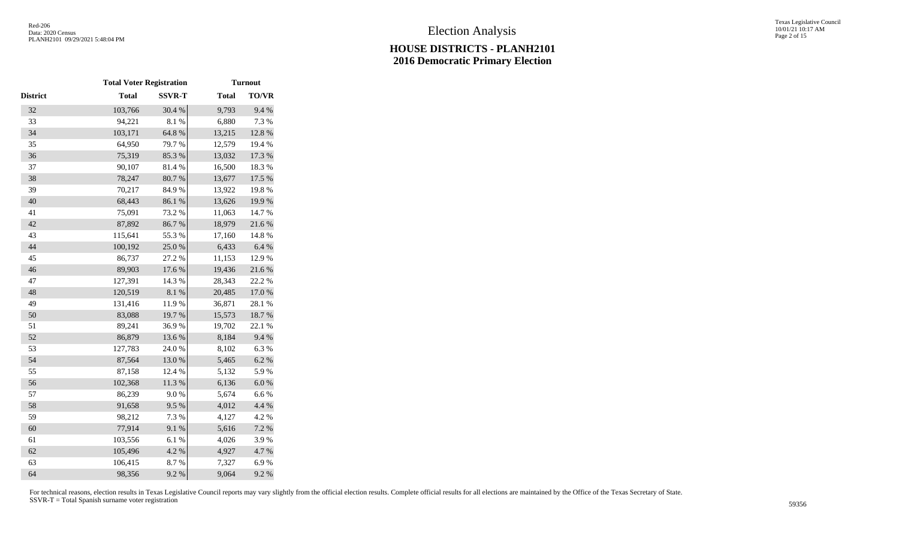|                 | <b>Total Voter Registration</b> |               | <b>Turnout</b> |           |  |  |  |  |
|-----------------|---------------------------------|---------------|----------------|-----------|--|--|--|--|
| <b>District</b> | <b>Total</b>                    | <b>SSVR-T</b> | <b>Total</b>   | TO/VR     |  |  |  |  |
| 32              | 103,766                         | 30.4 %        | 9,793          | 9.4%      |  |  |  |  |
| 33              | 94,221                          | 8.1%          | 6,880          | 7.3 %     |  |  |  |  |
| 34              | 103,171                         | 64.8 %        | 13,215         | 12.8 %    |  |  |  |  |
| 35              | 64,950                          | 79.7%         | 12,579         | 19.4 %    |  |  |  |  |
| 36              | 75,319                          | 85.3%         | 13,032         | 17.3 %    |  |  |  |  |
| 37              | 90,107                          | 81.4%         | 16,500         | 18.3%     |  |  |  |  |
| 38              | 78,247                          | 80.7 %        | 13,677         | 17.5 %    |  |  |  |  |
| 39              | 70,217                          | 84.9%         | 13,922         | 19.8%     |  |  |  |  |
| 40              | 68,443                          | 86.1 %        | 13,626         | 19.9%     |  |  |  |  |
| 41              | 75,091                          | 73.2 %        | 11,063         | 14.7%     |  |  |  |  |
| 42              | 87,892                          | 86.7%         | 18,979         | 21.6%     |  |  |  |  |
| 43              | 115,641                         | 55.3%         | 17,160         | 14.8 %    |  |  |  |  |
| 44              | 100,192                         | 25.0%         | 6,433          | 6.4 %     |  |  |  |  |
| 45              | 86,737                          | 27.2 %        | 11,153         | 12.9%     |  |  |  |  |
| 46              | 89,903                          | 17.6 %        | 19,436         | 21.6 %    |  |  |  |  |
| 47              | 127,391                         | 14.3 %        | 28,343         | 22.2 %    |  |  |  |  |
| 48              | 120,519                         | $8.1~\%$      | 20,485         | 17.0 %    |  |  |  |  |
| 49              | 131,416                         | 11.9%         | 36,871         | 28.1 %    |  |  |  |  |
| 50              | 83,088                          | 19.7%         | 15,573         | 18.7%     |  |  |  |  |
| 51              | 89,241                          | 36.9%         | 19,702         | 22.1 %    |  |  |  |  |
| 52              | 86,879                          | 13.6 %        | 8,184          | 9.4 %     |  |  |  |  |
| 53              | 127,783                         | 24.0%         | 8,102          | 6.3%      |  |  |  |  |
| 54              | 87,564                          | 13.0%         | 5,465          | 6.2%      |  |  |  |  |
| 55              | 87,158                          | 12.4 %        | 5,132          | 5.9%      |  |  |  |  |
| 56              | 102,368                         | $11.3\ \%$    | 6,136          | $6.0\ \%$ |  |  |  |  |
| 57              | 86,239                          | $9.0\;\%$     | 5,674          | 6.6%      |  |  |  |  |
| 58              | 91,658                          | 9.5%          | 4,012          | 4.4 %     |  |  |  |  |
| 59              | 98,212                          | 7.3 %         | 4,127          | 4.2 %     |  |  |  |  |
| 60              | 77,914                          | 9.1%          | 5,616          | 7.2 %     |  |  |  |  |
| 61              | 103,556                         | $6.1~\%$      | 4,026          | 3.9%      |  |  |  |  |
| 62              | 105,496                         | 4.2 %         | 4,927          | 4.7%      |  |  |  |  |
| 63              | 106,415                         | 8.7%          | 7,327          | 6.9%      |  |  |  |  |
| 64              | 98,356                          | 9.2 %         | 9,064          | 9.2%      |  |  |  |  |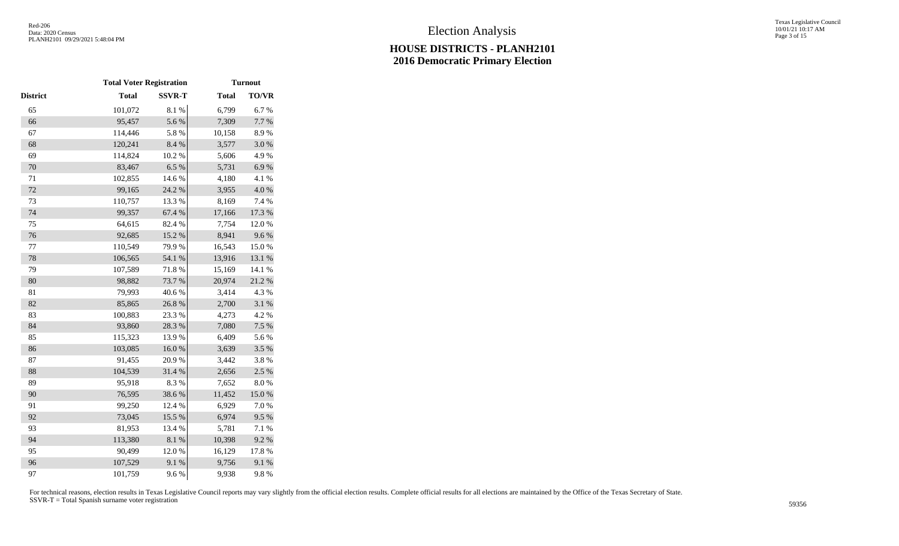|          | <b>Total Voter Registration</b> |               |              | <b>Turnout</b> |  |  |  |
|----------|---------------------------------|---------------|--------------|----------------|--|--|--|
| District | <b>Total</b>                    | <b>SSVR-T</b> | <b>Total</b> | TO/VR          |  |  |  |
| 65       | 101,072                         | 8.1 %         | 6,799        | 6.7%           |  |  |  |
| 66       | 95,457                          | 5.6%          | 7,309        | 7.7 %          |  |  |  |
| 67       | 114,446                         | 5.8 %         | 10,158       | 8.9%           |  |  |  |
| 68       | 120,241                         | 8.4%          | 3,577        | 3.0%           |  |  |  |
| 69       | 114,824                         | 10.2 %        | 5,606        | 4.9%           |  |  |  |
| 70       | 83,467                          | 6.5%          | 5,731        | 6.9%           |  |  |  |
| 71       | 102,855                         | 14.6 %        | 4,180        | 4.1 %          |  |  |  |
| 72       | 99,165                          | 24.2 %        | 3,955        | 4.0%           |  |  |  |
| 73       | 110,757                         | 13.3 %        | 8,169        | 7.4 %          |  |  |  |
| 74       | 99,357                          | 67.4 %        | 17,166       | 17.3 %         |  |  |  |
| 75       | 64,615                          | 82.4 %        | 7,754        | 12.0%          |  |  |  |
| 76       | 92,685                          | 15.2 %        | 8,941        | 9.6%           |  |  |  |
| 77       | 110,549                         | 79.9%         | 16,543       | 15.0%          |  |  |  |
| 78       | 106,565                         | 54.1 %        | 13,916       | 13.1 %         |  |  |  |
| 79       | 107,589                         | 71.8%         | 15,169       | 14.1 %         |  |  |  |
| 80       | 98,882                          | 73.7%         | 20,974       | 21.2 %         |  |  |  |
| 81       | 79,993                          | 40.6%         | 3,414        | 4.3 %          |  |  |  |
| 82       | 85,865                          | 26.8%         | 2,700        | 3.1 %          |  |  |  |
| 83       | 100,883                         | 23.3 %        | 4,273        | 4.2 %          |  |  |  |
| 84       | 93,860                          | 28.3 %        | 7,080        | 7.5 %          |  |  |  |
| 85       | 115,323                         | 13.9%         | 6,409        | 5.6%           |  |  |  |
| 86       | 103,085                         | 16.0%         | 3,639        | 3.5 %          |  |  |  |
| 87       | 91,455                          | 20.9%         | 3,442        | 3.8%           |  |  |  |
| 88       | 104,539                         | 31.4 %        | 2,656        | 2.5 %          |  |  |  |
| 89       | 95,918                          | 8.3%          | 7,652        | $8.0\ \%$      |  |  |  |
| 90       | 76,595                          | 38.6%         | 11,452       | 15.0%          |  |  |  |
| 91       | 99,250                          | 12.4 %        | 6,929        | 7.0%           |  |  |  |
| 92       | 73,045                          | 15.5 %        | 6,974        | 9.5%           |  |  |  |
| 93       | 81,953                          | 13.4 %        | 5,781        | 7.1 %          |  |  |  |
| 94       | 113,380                         | 8.1%          | 10,398       | 9.2%           |  |  |  |
| 95       | 90,499                          | 12.0%         | 16,129       | 17.8%          |  |  |  |
| 96       | 107,529                         | 9.1%          | 9,756        | 9.1%           |  |  |  |
| 97       | 101,759                         | 9.6 %         | 9,938        | 9.8%           |  |  |  |
|          |                                 |               |              |                |  |  |  |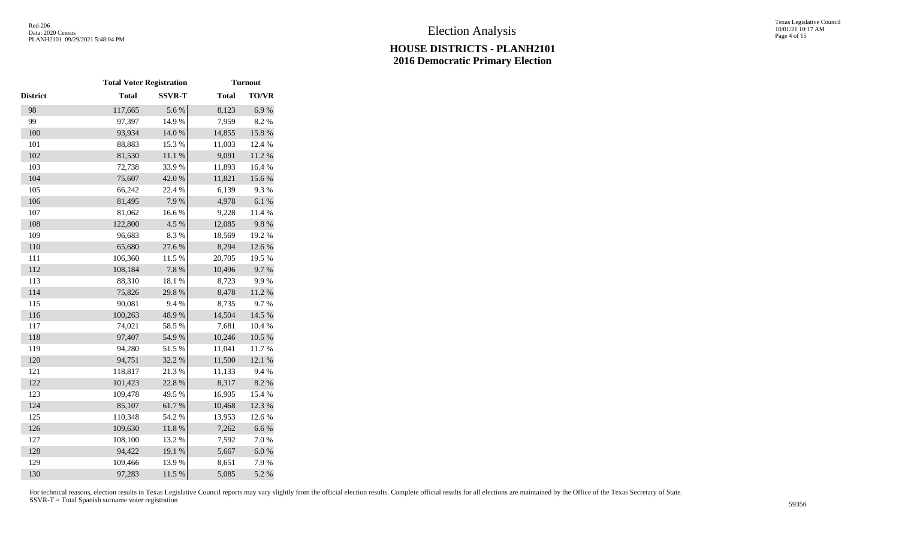|                 | <b>Total Voter Registration</b> |               |              | <b>Turnout</b> |  |  |  |  |
|-----------------|---------------------------------|---------------|--------------|----------------|--|--|--|--|
| <b>District</b> | <b>Total</b>                    | <b>SSVR-T</b> | <b>Total</b> | TO/VR          |  |  |  |  |
| 98              | 117,665                         | 5.6%          | 8,123        | 6.9%           |  |  |  |  |
| 99              | 97,397                          | 14.9%         | 7,959        | 8.2 %          |  |  |  |  |
| 100             | 93,934                          | $14.0\ \%$    | 14,855       | 15.8 %         |  |  |  |  |
| 101             | 88,883                          | 15.3%         | 11,003       | 12.4 %         |  |  |  |  |
| 102             | 81,530                          | 11.1 %        | 9,091        | 11.2 %         |  |  |  |  |
| 103             | 72,738                          | 33.9%         | 11,893       | 16.4 %         |  |  |  |  |
| 104             | 75,607                          | 42.0%         | 11,821       | 15.6 %         |  |  |  |  |
| 105             | 66,242                          | 22.4 %        | 6,139        | 9.3%           |  |  |  |  |
| 106             | 81,495                          | 7.9%          | 4,978        | $6.1~\%$       |  |  |  |  |
| 107             | 81,062                          | $16.6~\%$     | 9,228        | 11.4 %         |  |  |  |  |
| 108             | 122,800                         | 4.5 %         | 12,085       | 9.8%           |  |  |  |  |
| 109             | 96,683                          | 8.3%          | 18,569       | 19.2 %         |  |  |  |  |
| 110             | 65,680                          | 27.6 %        | 8,294        | 12.6 %         |  |  |  |  |
| 111             | 106,360                         | 11.5 %        | 20,705       | 19.5 %         |  |  |  |  |
| 112             | 108,184                         | $7.8~\%$      | 10,496       | 9.7%           |  |  |  |  |
| 113             | 88,310                          | 18.1 %        | 8,723        | 9.9%           |  |  |  |  |
| 114             | 75,826                          | 29.8%         | 8,478        | $11.2\ \%$     |  |  |  |  |
| 115             | 90,081                          | 9.4%          | 8,735        | 9.7%           |  |  |  |  |
| 116             | 100,263                         | 48.9%         | 14,504       | 14.5 %         |  |  |  |  |
| 117             | 74,021                          | 58.5 %        | 7,681        | 10.4 %         |  |  |  |  |
| 118             | 97,407                          | 54.9%         | 10,246       | $10.5~\%$      |  |  |  |  |
| 119             | 94,280                          | 51.5%         | 11,041       | 11.7%          |  |  |  |  |
| 120             | 94,751                          | 32.2 %        | 11,500       | 12.1 %         |  |  |  |  |
| 121             | 118,817                         | 21.3%         | 11,133       | 9.4%           |  |  |  |  |
| 122             | 101,423                         | 22.8 %        | 8,317        | 8.2 %          |  |  |  |  |
| 123             | 109,478                         | 49.5 %        | 16,905       | 15.4 %         |  |  |  |  |
| 124             | 85,107                          | 61.7%         | 10,468       | 12.3 %         |  |  |  |  |
| 125             | 110,348                         | 54.2 %        | 13,953       | 12.6%          |  |  |  |  |
| 126             | 109,630                         | $11.8\ \%$    | 7,262        | 6.6%           |  |  |  |  |
| 127             | 108,100                         | 13.2 %        | 7,592        | 7.0 %          |  |  |  |  |
| 128             | 94,422                          | 19.1 %        | 5,667        | $6.0\ \%$      |  |  |  |  |
| 129             | 109,466                         | 13.9%         | 8,651        | 7.9%           |  |  |  |  |
| 130             | 97,283                          | 11.5 %        | 5,085        | 5.2 %          |  |  |  |  |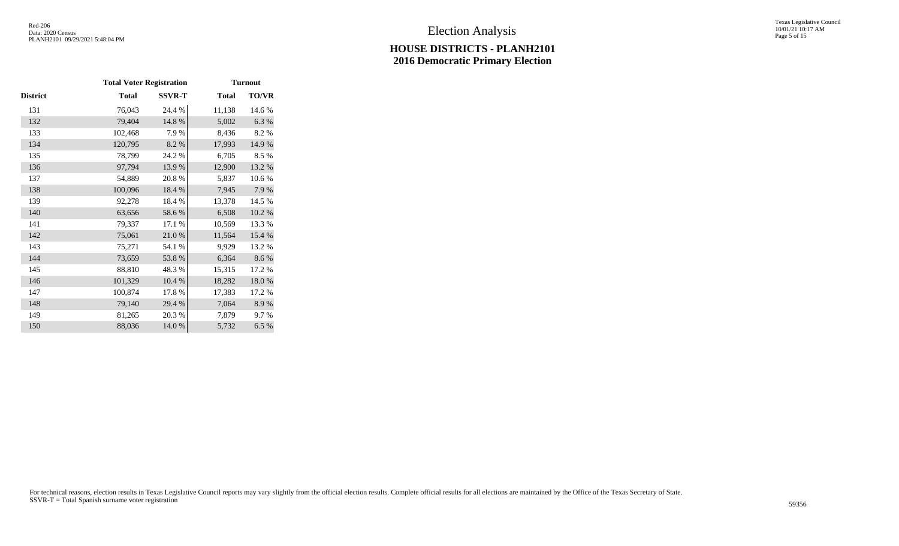Texas Legislative Council 10/01/21 10:17 AM Page 5 of 15

| <b>Total</b> | <b>SSVR-T</b> | <b>Total</b> | <b>TO/VR</b> |
|--------------|---------------|--------------|--------------|
| 76,043       | 24.4 %        | 11,138       | 14.6 %       |
| 79,404       | 14.8 %        | 5,002        | 6.3%         |
| 102,468      | 7.9%          | 8,436        | 8.2%         |
| 120,795      | 8.2 %         | 17,993       | 14.9%        |
| 78,799       | 24.2 %        | 6,705        | 8.5%         |
| 97,794       | 13.9%         | 12,900       | 13.2 %       |
| 54,889       | 20.8%         | 5,837        | 10.6%        |
| 100,096      | 18.4 %        | 7,945        | 7.9%         |
| 92,278       | 18.4%         | 13,378       | 14.5 %       |
| 63,656       | 58.6%         | 6,508        | $10.2~\%$    |
| 79,337       | 17.1 %        | 10,569       | 13.3 %       |
| 75,061       | 21.0%         | 11,564       | 15.4 %       |
| 75,271       | 54.1 %        | 9,929        | 13.2 %       |
| 73,659       | 53.8%         | 6,364        | 8.6%         |
| 88,810       | 48.3%         | 15,315       | 17.2 %       |
| 101,329      | 10.4 %        | 18,282       | 18.0%        |
| 100,874      | 17.8%         | 17,383       | 17.2 %       |
| 79,140       | 29.4 %        | 7,064        | 8.9%         |
| 81,265       | 20.3 %        | 7,879        | 9.7%         |
| 88,036       | 14.0 %        | 5,732        | 6.5%         |
|              |               |              |              |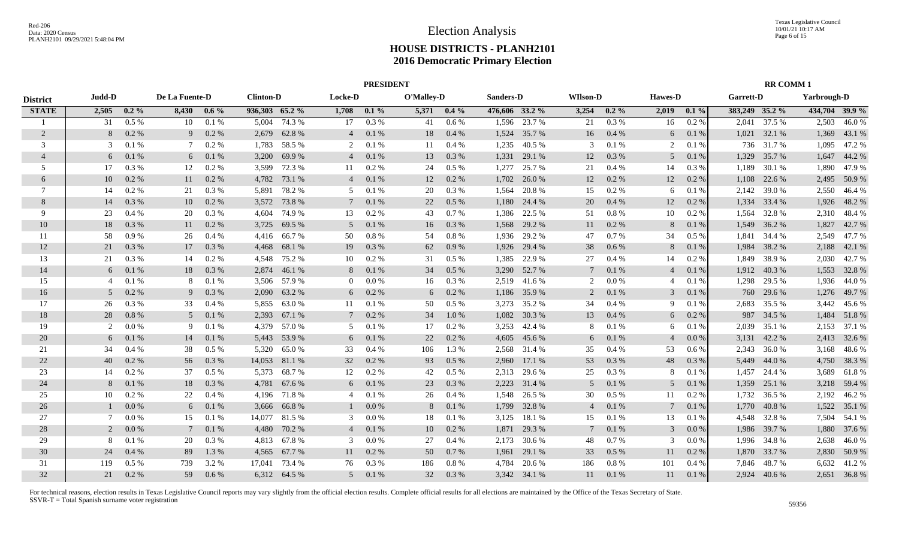|                 |               |          |                |         |                  |                |                 | <b>PRESIDENT</b> |            |               |                  |              |                 |           |                |         | <b>RR COMM1</b>  |              |             |                |
|-----------------|---------------|----------|----------------|---------|------------------|----------------|-----------------|------------------|------------|---------------|------------------|--------------|-----------------|-----------|----------------|---------|------------------|--------------|-------------|----------------|
| <b>District</b> | Judd-D        |          | De La Fuente-D |         | <b>Clinton-D</b> |                | <b>Locke-D</b>  |                  | O'Malley-D |               | <b>Sanders-D</b> |              | <b>WIlson-D</b> |           | <b>Hawes-D</b> |         | <b>Garrett-D</b> |              | Yarbrough-D |                |
| <b>STATE</b>    | 2,505         | $0.2\%$  | 8,430          | $0.6\%$ |                  | 936,303 65.2 % | 1,708           | $0.1\%$          |            | $5,371$ 0.4 % | 476,606 33.2 %   |              | 3,254           | $0.2\%$   | 2,019          | $0.1\%$ | 383,249 35.2 %   |              |             | 434,704 39.9 % |
|                 | 31            | $0.5\%$  | 10             | 0.1%    | 5,004            | 74.3 %         | 17              | 0.3%             | 41         | 0.6%          | 1,596            | 23.7 %       | 21              | 0.3%      | 16             | 0.2%    | 2,041            | 37.5 %       | 2,503       | 46.0%          |
| 2               | 8             | 0.2 %    | 9              | $0.2\%$ | 2,679            | 62.8%          | $\overline{4}$  | 0.1%             | 18         | $0.4\%$       | 1,524            | 35.7 %       | 16              | 0.4%      | 6              | 0.1%    | 1,021            | 32.1 %       | 1,369       | 43.1 %         |
| 3               | $\mathcal{R}$ | 0.1%     |                | 0.2 %   | 1,783            | 58.5 %         | 2               | 0.1%             | 11         | 0.4%          | 1,235            | 40.5 %       | 3               | 0.1%      | 2              | 0.1%    |                  | 736 31.7 %   | 1,095       | 47.2%          |
| $\overline{4}$  | 6             | $0.1~\%$ | 6              | 0.1%    | 3,200            | 69.9%          | $\overline{4}$  | 0.1%             | 13         | 0.3%          | 1,331            | 29.1 %       | 12              | $0.3~\%$  | 5              | 0.1%    | 1,329            | 35.7 %       | 1,647       | 44.2 %         |
| 5               | 17            | 0.3 %    | 12             | 0.2 %   | 3,599            | 72.3 %         | 11              | 0.2 %            | 24         | 0.5%          | 1,277            | 25.7 %       | 21              | 0.4%      | 14             | 0.3%    | 1,189            | 30.1 %       | 1,890       | 47.9%          |
| 6               | 10            | 0.2 %    | 11             | 0.2 %   | 4,782            | 73.1 %         | $\overline{4}$  | 0.1%             | 12         | 0.2%          | 1,702            | 26.0%        | 12              | $0.2~\%$  | 12             | 0.2 %   | 1,108            | 22.6 %       | 2,495       | 50.9%          |
| 7               | 14            | 0.2 %    | 21             | 0.3 %   | 5,891            | 78.2%          | 5               | 0.1%             | 20         | 0.3 %         | 1,564            | 20.8%        | 15              | 0.2 %     | 6              | 0.1%    | 2,142            | 39.0 %       | 2,550       | 46.4 %         |
| 8               | 14            | 0.3%     | 10             | 0.2 %   | 3,572            | 73.8%          | $\tau$          | 0.1%             | 22         | 0.5%          | 1,180            | 24.4 %       | 20              | $0.4~\%$  | 12             | 0.2 %   | 1,334            | 33.4 %       | 1,926       | 48.2%          |
| 9               | 23            | 0.4%     | 20             | 0.3 %   | 4,604            | 74.9 %         | 13              | 0.2 %            | 43         | 0.7%          | 1,386            | 22.5 %       | 51              | 0.8%      | 10             | 0.2%    | 1,564            | 32.8%        | 2,310       | 48.4%          |
| 10              | 18            | $0.3\%$  | 11             | 0.2 %   | 3,725            | 69.5 %         | 5               | 0.1%             | 16         | 0.3%          | 1,568            | 29.2 %       | 11              | 0.2 %     | 8              | 0.1%    | 1,549            | 36.2 %       | 1,827       | 42.7%          |
| 11              | 58            | $0.9\%$  | 26             | 0.4%    | 4,416            | 66.7%          | 50              | 0.8 %            | 54         | 0.8 %         | 1,936            | 29.2 %       | 47              | 0.7%      | 34             | $0.5\%$ | 1,841            | 34.4 %       | 2,549       | 47.7 %         |
| 12              | 21            | 0.3%     | 17             | 0.3%    | 4,468            | 68.1 %         | 19              | 0.3%             | 62         | 0.9%          | 1,926            | 29.4 %       | 38              | 0.6 %     | 8              | 0.1%    | 1,984            | 38.2 %       | 2,188       | 42.1 %         |
| 13              | 21            | 0.3%     | 14             | $0.2\%$ | 4,548            | 75.2 %         | 10              | 0.2 %            | 31         | 0.5%          | 1,385            | 22.9 %       | 27              | 0.4%      | 14             | 0.2 %   | 1,849            | 38.9%        | 2,030       | 42.7 %         |
| 14              | 6             | 0.1%     | 18             | 0.3%    | 2.874            | 46.1 %         | 8               | 0.1%             | 34         | 0.5%          | 3,290            | 52.7 %       | $\tau$          | 0.1%      | $\overline{4}$ | 0.1%    |                  | 1,912 40.3 % |             | 1,553 32.8 %   |
| 15              |               | 0.1%     | 8              | 0.1%    |                  | 3,506 57.9 %   | $\overline{0}$  | 0.0 %            | 16         | $0.3\%$       | 2,519            | 41.6%        | 2               | 0.0 %     | $\overline{4}$ | 0.1%    | 1,298            | 29.5 %       | 1,936       | 44.0 %         |
| 16              | 5             | 0.2%     | 9              | 0.3 %   | 2,090            | 63.2 %         | 6               | 0.2 %            | 6          | $0.2\%$       | 1,186            | 35.9 %       | 2               | 0.1 %     | 3              | 0.1%    | 760              | 29.6 %       | 1,276       | 49.7 %         |
| 17              | 26            | 0.3%     | 33             | 0.4%    | 5,855            | 63.0%          | 11              | 0.1 %            | 50         | 0.5%          | 3,273            | 35.2 %       | 34              | 0.4%      | 9              | 0.1%    | 2,683            | 35.5 %       | 3,442       | 45.6 %         |
| 18              | 28            | 0.8%     | 5              | 0.1%    | 2,393            | 67.1 %         | $7\phantom{.0}$ | 0.2 %            | 34         | 1.0%          | 1,082            | 30.3 %       | 13              | 0.4%      | 6              | $0.2\%$ | 987              | 34.5 %       | 1,484       | 51.8%          |
| 19              | $\mathcal{L}$ | 0.0 %    | 9              | 0.1%    | 4,379            | 57.0 %         | 5               | 0.1 %            | 17         | 0.2 %         | 3,253            | 42.4 %       | 8               | 0.1%      | 6              | 0.1%    | 2,039            | 35.1 %       | 2,153       | 37.1 %         |
| 20              | 6             | 0.1%     | 14             | 0.1%    | 5,443            | 53.9%          | 6               | 0.1%             | 22         | 0.2 %         | 4,605            | 45.6 %       | 6               | 0.1%      | $\overline{4}$ | 0.0 %   | 3,131            | 42.2 %       | 2,413       | 32.6 %         |
| 21              | 34            | $0.4\%$  | 38             | 0.5%    | 5,320            | 65.0%          | 33              | 0.4%             | 106        | 1.3 %         | 2,568            | 31.4 %       | 35              | 0.4%      | 53             | $0.6\%$ | 2,343            | 36.0%        | 3,168       | 48.6%          |
| 22              | 40            | 0.2 %    | 56             | 0.3%    | 14,053           | 81.1 %         | 32              | 0.2 %            | 93         | 0.5%          | 2,960            | 17.1 %       | 53              | $0.3\ \%$ | 48             | 0.3%    | 5,449            | 44.0 %       | 4,750       | 38.3%          |
| 23              | 14            | 0.2 %    | 37             | 0.5%    | 5,373            | 68.7%          | 12              | 0.2%             | 42         | 0.5%          | 2,313            | 29.6 %       | 25              | 0.3 %     | 8              | 0.1%    | 1,457            | 24.4 %       | 3,689       | 61.8%          |
| 24              |               | 0.1%     | 18             | 0.3 %   | 4,781            | 67.6 %         | 6               | 0.1%             | 23         | 0.3%          | 2,223            | 31.4 %       | 5               | 0.1%      | 5              | 0.1%    | 1,359            | 25.1 %       | 3,218       | 59.4 %         |
| 25              | 10            | 0.2 %    | 22             | 0.4%    | 4,196            | 71.8%          | 4               | 0.1%             | 26         | 0.4%          | 1,548            | 26.5 %       | 30              | $0.5\%$   | 11             | 0.2%    | 1,732            | 36.5 %       | 2,192       | 46.2%          |
| 26              |               | 0.0 %    | 6              | 0.1%    | 3,666            | 66.8%          |                 | 0.0 %            | 8          | 0.1%          | 1,799            | 32.8%        | $\overline{4}$  | 0.1%      | 7              | 0.1%    | 1,770            | 40.8%        | 1,522       | 35.1 %         |
| 27              | 7             | 0.0 %    | 15             | 0.1%    | 14,077           | 81.5 %         | 3               | 0.0 %            | 18         | 0.1%          | 3,125            | 18.1 %       | 15              | 0.1%      | 13             | 0.1%    | 4,548            | 32.8%        | 7,504       | 54.1 %         |
| 28              | 2             | 0.0 %    | 7              | 0.1%    | 4,480            | 70.2 %         | $\overline{4}$  | 0.1%             | 10         | $0.2\%$       | 1,871            | 29.3%        | 7               | 0.1%      | 3              | $0.0\%$ |                  | 1,986 39.7 % | 1,880       | 37.6 %         |
| 29              |               | 0.1%     | 20             | $0.3\%$ | 4,813            | 67.8%          | 3               | 0.0 %            | 27         | 0.4%          | 2,173            | 30.6 %       | 48              | 0.7%      | 3              | $0.0\%$ |                  | 1,996 34.8 % | 2,638       | 46.0%          |
| 30              | 24            | 0.4%     | 89             | 1.3 %   | 4,565            | 67.7 %         | 11              | 0.2 %            | 50         | 0.7%          | 1,961            | 29.1 %       | 33              | 0.5 %     | 11             | 0.2%    |                  | 1,870 33.7 % | 2,830       | 50.9%          |
| 31              | 119           | 0.5 %    | 739            | 3.2 %   | 17.041           | 73.4 %         | 76              | 0.3%             | 186        | 0.8%          | 4.784            | 20.6 %       | 186             | 0.8%      | 101            | 0.4%    | 7.846            | 48.7 %       | 6,632       | 41.2%          |
| 32              | 21            | 0.2 %    | .59            | 0.6%    |                  | 6,312 64.5 %   | $\mathfrak{F}$  | 0.1%             | 32         | 0.3%          |                  | 3,342 34.1 % | 11              | 0.1%      | 11             | 0.1%    |                  | 2,924 40.6 % |             | 2,651 36.8%    |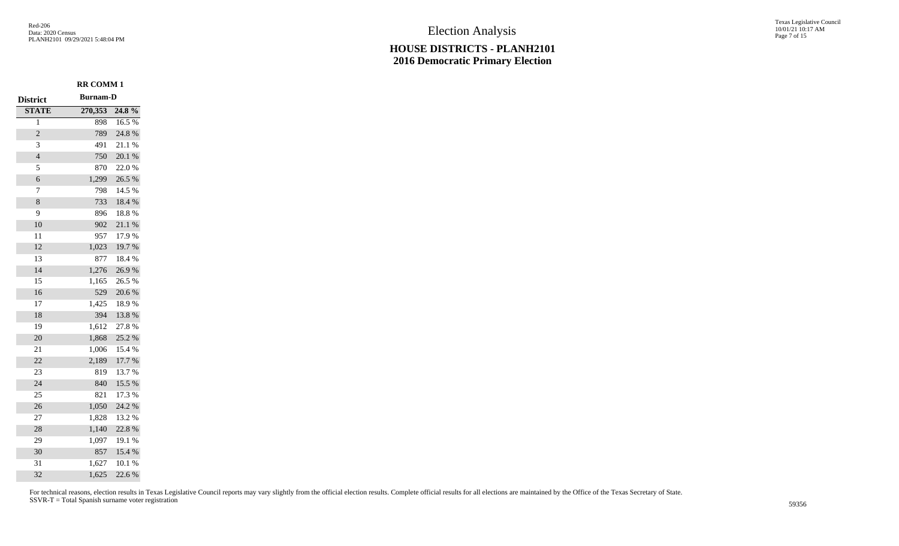**RR COMM 1**

## **HOUSE DISTRICTS - PLANH2101 2016 Democratic Primary Election**

Texas Legislative Council 10/01/21 10:17 AM Page 7 of 15

| <b>District</b> | <b>Burnam-D</b> |        |
|-----------------|-----------------|--------|
| <b>STATE</b>    | 270,353         | 24.8%  |
| 1               | 898             | 16.5 % |
| $\overline{c}$  | 789             | 24.8 % |
| 3               | 491             | 21.1%  |
| $\overline{4}$  | 750             | 20.1 % |
| 5               | 870             | 22.0%  |
| 6               | 1,299           | 26.5 % |
| 7               | 798             | 14.5 % |
| 8               | 733             | 18.4 % |
| 9               | 896             | 18.8%  |
| 10              | 902             | 21.1%  |
| 11              | 957             | 17.9%  |
| 12              | 1,023           | 19.7%  |
| 13              | 877             | 18.4 % |
| 14              | 1,276           | 26.9%  |
| 15              | 1,165           | 26.5 % |
| 16              | 529             | 20.6%  |
| 17              | 1,425           | 18.9%  |
| 18              | 394             | 13.8 % |
| 19              | 1,612           | 27.8%  |
| 20              | 1,868           | 25.2 % |
| 21              | 1,006           | 15.4 % |
| 22              | 2,189           | 17.7 % |
| 23              | 819             | 13.7 % |
| 24              | 840             | 15.5 % |
| 25              | 821             | 17.3 % |
| 26              | 1,050           | 24.2 % |
| 27              | 1,828           | 13.2 % |
| 28              | 1,140           | 22.8 % |
| 29              | 1,097           | 19.1 % |
| 30              | 857             | 15.4 % |
| 31              | 1,627           | 10.1 % |
| 32              | 1,625           | 22.6%  |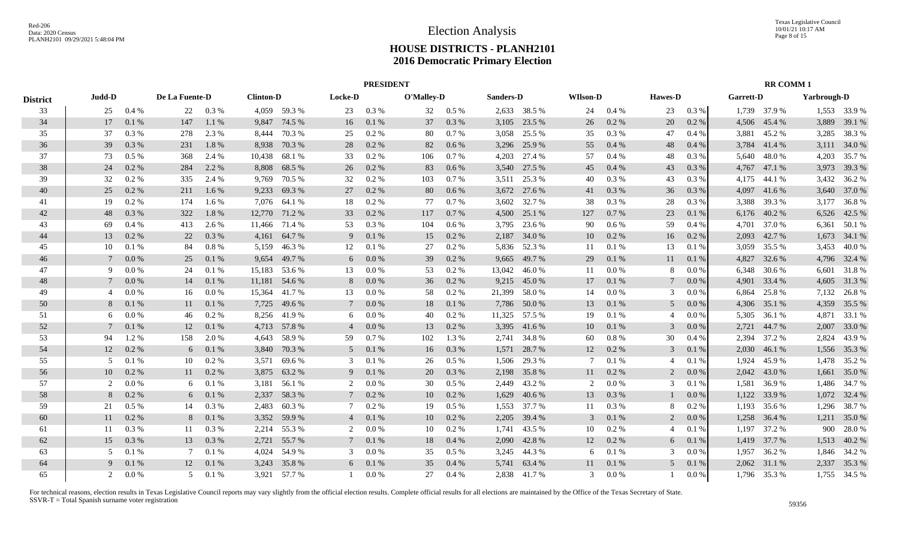|                 | <b>PRESIDENT</b>              |         |                |           |                  |              |                 |         |            |         |           |              |                 |          |                | <b>RR COMM1</b> |                  |              |             |              |
|-----------------|-------------------------------|---------|----------------|-----------|------------------|--------------|-----------------|---------|------------|---------|-----------|--------------|-----------------|----------|----------------|-----------------|------------------|--------------|-------------|--------------|
| <b>District</b> | Judd-D                        |         | De La Fuente-D |           | <b>Clinton-D</b> |              | <b>Locke-D</b>  |         | O'Malley-D |         | Sanders-D |              | <b>WIlson-D</b> |          | <b>Hawes-D</b> |                 | <b>Garrett-D</b> |              | Yarbrough-D |              |
| 33              | 25                            | 0.4%    | 22             | 0.3 %     |                  | 4,059 59.3 % | 23              | 0.3%    | 32         | $0.5\%$ |           | 2,633 38.5 % | 24              | $0.4\%$  | 23             | 0.3%            |                  | 1,739 37.9 % |             | 1,553 33.9 % |
| 34              | 17                            | 0.1%    | 147            | 1.1 %     | 9,847            | 74.5 %       | 16              | 0.1%    | 37         | 0.3 %   | 3,105     | 23.5 %       | 26              | 0.2 %    | 20             | 0.2 %           | 4,506            | 45.4 %       | 3,889       | 39.1 %       |
| 35              | 37                            | 0.3%    | 278            | 2.3 %     | 8,444            | 70.3 %       | 25              | 0.2 %   | 80         | 0.7%    | 3,058     | 25.5 %       | 35              | 0.3 %    | 47             | 0.4%            | 3,881            | 45.2 %       | 3,285       | 38.3 %       |
| 36              | 39                            | 0.3%    | 231            | 1.8%      | 8,938            | 70.3 %       | 28              | 0.2 %   | 82         | 0.6 %   | 3,296     | 25.9 %       | 55              | 0.4%     | 48             | 0.4%            | 3,784            | 41.4 %       | 3,111       | 34.0 %       |
| 37              | 73                            | 0.5%    | 368            | 2.4 %     | 10,438           | 68.1%        | 33              | 0.2 %   | 106        | 0.7 %   | 4,203     | 27.4 %       | 57              | 0.4%     | 48             | 0.3 %           | 5,640            | 48.0%        | 4,203       | 35.7 %       |
| 38              | 24                            | 0.2 %   | 284            | 2.2 %     | 8,808            | 68.5 %       | 26              | 0.2 %   | 83         | 0.6 %   | 3,540     | 27.5 %       | 45              | 0.4%     | 43             | 0.3 %           | 4,767            | 47.1 %       | 3,973       | 39.3 %       |
| 39              | 32                            | 0.2 %   | 335            | 2.4 %     | 9,769            | 70.5 %       | 32              | 0.2 %   | 103        | 0.7%    | 3,511     | 25.3 %       | 40              | 0.3%     | 43             | 0.3 %           | 4,175            | 44.1 %       | 3,432       | 36.2 %       |
| 40              | 25                            | 0.2 %   | 211            | 1.6 %     | 9,233            | 69.3%        | 27              | 0.2 %   | 80         | 0.6 %   | 3,672     | 27.6 %       | 41              | 0.3 %    | 36             | 0.3%            | 4,097            | 41.6 %       | 3,640       | 37.0 %       |
| 41              | 19                            | 0.2 %   | 174            | 1.6%      | 7,076            | 64.1 %       | 18              | 0.2 %   | 77         | 0.7%    | 3,602     | 32.7 %       | 38              | 0.3 %    | 28             | 0.3 %           | 3,388            | 39.3 %       | 3,177       | 36.8%        |
| 42              | 48                            | 0.3%    | 322            | 1.8%      | 12,770           | 71.2 %       | 33              | 0.2 %   | 117        | 0.7%    | 4,500     | 25.1 %       | 127             | 0.7 %    | 23             | 0.1%            | 6,176            | 40.2 %       | 6,526       | 42.5 %       |
| 43              | 69                            | 0.4%    | 413            | 2.6 %     | 11,466           | 71.4 %       | 53              | 0.3%    | 104        | 0.6 %   | 3,795     | 23.6 %       | 90              | 0.6 %    | 59             | 0.4%            | 4,701            | 37.0 %       | 6,361       | 50.1 %       |
| 44              | 13                            | 0.2 %   | 22             | 0.3%      | 4,161            | 64.7%        | 9               | 0.1%    | 15         | 0.2 %   | 2,187     | 34.0 %       | 10              | 0.2 %    | 16             | 0.2 %           | 2,093            | 42.7 %       | 1,673       | 34.1 %       |
| 45              | 10                            | 0.1%    | 84             | 0.8%      | 5,159            | 46.3%        | 12              | 0.1%    | 27         | 0.2 %   | 5,836     | 52.3 %       | 11              | 0.1%     | 13             | 0.1%            | 3,059            | 35.5 %       | 3,453       | 40.0%        |
| 46              |                               | 0.0 %   | 25             | 0.1%      | 9,654            | 49.7 %       | 6               | 0.0 %   | 39         | 0.2 %   | 9,665     | 49.7 %       | 29              | 0.1%     | 11             | 0.1%            | 4,827            | 32.6 %       |             | 4,796 32.4 % |
| 47              | 9                             | 0.0 %   | 24             | 0.1%      | 15,183           | 53.6 %       | 13              | 0.0 %   | 53         | 0.2 %   | 13,042    | 46.0%        | 11              | 0.0 %    | 8              | 0.0 %           | 6,348            | 30.6 %       | 6,601       | 31.8%        |
| 48              |                               | 0.0 %   | 14             | 0.1%      | 11,181           | 54.6 %       | 8               | 0.0 %   | 36         | 0.2 %   | 9,215     | 45.0 %       | 17              | 0.1%     | 7              | 0.0 %           | 4,901            | 33.4 %       |             | 4,605 31.3 % |
| 49              | 4                             | $0.0\%$ | 16             | 0.0 %     | 15,364           | 41.7%        | 13              | 0.0 %   | 58         | 0.2 %   | 21,399    | 58.0%        | 14              | 0.0 %    | 3              | 0.0 %           | 6,864            | 25.8%        | 7,132       | 26.8%        |
| 50              | 8                             | 0.1%    | 11             | 0.1%      | 7,725            | 49.6 %       | $\tau$          | 0.0 %   | 18         | 0.1%    | 7,786     | 50.0 %       | 13              | 0.1%     | 5              | 0.0 %           | 4,306            | 35.1 %       | 4,359       | 35.5 %       |
| 51              | 6                             | 0.0 %   | 46             | $0.2 \%$  | 8,256            | 41.9%        | 6               | $0.0\%$ | 40         | 0.2%    | 11,325    | 57.5 %       | 19              | 0.1%     | $\overline{4}$ | 0.0 %           | 5,305            | 36.1 %       | 4,871       | 33.1 %       |
| 52              |                               | 0.1%    | 12             | 0.1%      | 4,713            | 57.8%        | $\overline{4}$  | 0.0 %   | 13         | 0.2 %   | 3,395     | 41.6 %       | 10              | 0.1%     | 3              | 0.0 %           | 2,721            | 44.7 %       | 2,007       | 33.0 %       |
| 53              | 94                            | 1.2%    | 158            | 2.0 %     | 4,643            | 58.9%        | 59              | 0.7%    | 102        | 1.3 %   | 2,741     | 34.8%        | 60              | 0.8%     | 30             | 0.4%            | 2,394            | 37.2 %       | 2,824       | 43.9%        |
| 54              | 12                            | 0.2 %   | 6              | 0.1%      | 3,840            | 70.3 %       | 5               | 0.1%    | 16         | 0.3%    | 1,571     | 28.7 %       | 12              | $0.2~\%$ | 3              | 0.1%            | 2,030            | 46.1%        | 1,556       | 35.3 %       |
| 55              | 5                             | 0.1%    | 10             | 0.2%      | 3,571            | 69.6%        | 3               | 0.1%    | 26         | $0.5\%$ | 1,506     | 29.3 %       | 7               | 0.1%     | 4              | 0.1%            | 1,924            | 45.9%        | 1,478       | 35.2 %       |
| 56              | 10                            | 0.2 %   | 11             | $0.2 \%$  | 3,875            | 63.2 %       | 9               | 0.1%    | 20         | 0.3%    | 2,198     | 35.8%        | 11              | $0.2 \%$ | 2              | 0.0 %           | 2,042            | 43.0 %       | 1,661       | 35.0 %       |
| 57              | $\mathfrak{D}_{\mathfrak{p}}$ | 0.0 %   | 6              | 0.1 %     | 3,181            | 56.1 %       | 2               | 0.0 %   | 30         | 0.5%    | 2,449     | 43.2%        | 2               | 0.0 %    | 3              | 0.1%            | 1,581            | 36.9%        | 1,486       | 34.7 %       |
| 58              | 8                             | 0.2 %   | 6              | $0.1\ \%$ | 2,337            | 58.3%        | $7\phantom{.0}$ | 0.2 %   | 10         | 0.2 %   | 1,629     | 40.6 %       | 13              | 0.3 %    |                | 0.0 %           | 1,122            | 33.9%        | 1,072       | 32.4 %       |
| 59              | 21                            | 0.5%    | 14             | 0.3 %     | 2,483            | 60.3%        | 7               | 0.2 %   | 19         | 0.5%    | 1,553     | 37.7 %       | 11              | 0.3 %    | 8              | 0.2 %           | 1,193            | 35.6 %       | 1,296       | 38.7 %       |
| 60              | 11                            | 0.2 %   | 8              | 0.1%      | 3,352            | 59.9%        | 4               | 0.1%    | 10         | 0.2 %   | 2,205     | 39.4 %       | 3               | 0.1%     | 2              | 0.0 %           | 1,258            | 36.4 %       | 1,211       | 35.0 %       |
| 61              | 11                            | 0.3 %   | -11            | 0.3%      | 2,214            | 55.3 %       | 2               | 0.0 %   | 10         | 0.2 %   | 1,741     | 43.5 %       | 10              | $0.2 \%$ | $\overline{4}$ | 0.1%            | 1,197            | 37.2 %       | 900         | 28.0 %       |
| 62              | 15                            | 0.3 %   | 13             | 0.3 %     | 2,721            | 55.7 %       | $7\phantom{0}$  | 0.1%    | 18         | 0.4%    | 2,090     | 42.8%        | 12              | $0.2 \%$ | 6              | 0.1%            | 1,419            | 37.7 %       | 1,513       | 40.2 %       |
| 63              | 5                             | 0.1%    | 7              | 0.1 %     | 4,024            | 54.9 %       | 3               | 0.0 %   | 35         | 0.5 %   | 3,245     | 44.3 %       | 6               | 0.1%     | 3              | 0.0 %           | 1,957            | 36.2 %       |             | 1,846 34.2 % |
| 64              | 9                             | 0.1%    | 12             | 0.1%      | 3,243            | 35.8%        | 6               | 0.1%    | 35         | 0.4%    | 5,741     | 63.4 %       | 11              | 0.1%     | 5              | 0.1%            | 2,062            | 31.1 %       | 2,337       | 35.3 %       |
| 65              | 2                             | 0.0 %   | 5              | 0.1%      |                  | 3,921 57.7 % |                 | 0.0 %   | 27         | 0.4 %   | 2,838     | 41.7%        | 3               | 0.0 %    |                | 0.0 %           |                  | 1,796 35.3 % |             | 1,755 34.5 % |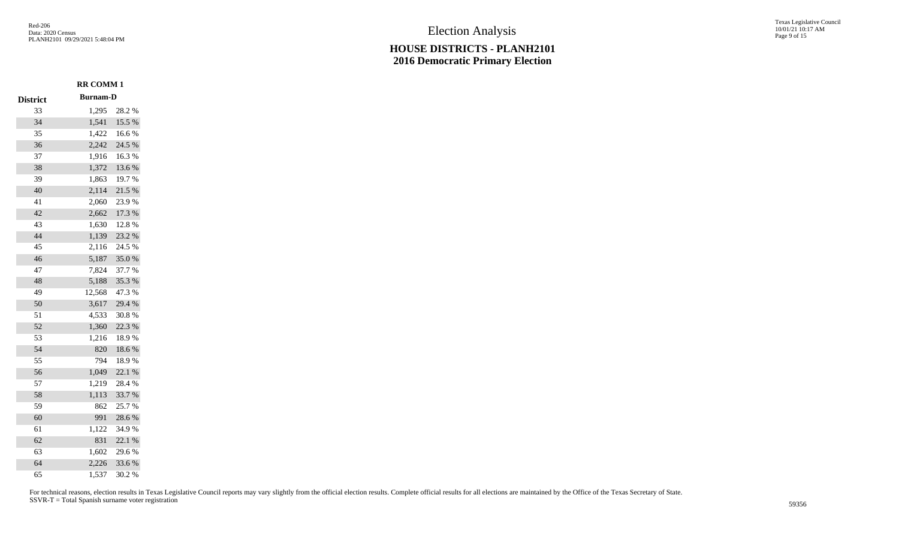## **HOUSE DISTRICTS - PLANH2101 2016 Democratic Primary Election**

Texas Legislative Council 10/01/21 10:17 AM Page 9 of 15

|                 | <b>RR COMM1</b> |            |
|-----------------|-----------------|------------|
| <b>District</b> | <b>Burnam-D</b> |            |
| 33              | 1,295           | 28.2%      |
| 34              | 1,541           | 15.5 %     |
| 35              | 1,422           | 16.6%      |
| 36              | 2,242           | 24.5 %     |
| 37              | 1,916           | 16.3%      |
| 38              | 1,372           | $13.6\;\%$ |
| 39              | 1,863           | 19.7%      |
| 40              | 2,114           | 21.5 %     |
| 41              | 2,060           | 23.9%      |
| 42              | 2,662           | 17.3 %     |
| 43              | 1,630           | 12.8 %     |
| 44              | 1,139           | 23.2 %     |
| 45              | 2,116           | 24.5 %     |
| 46              | 5,187           | $35.0\;\%$ |
| 47              | 7,824           | 37.7 %     |
| 48              | 5,188           | 35.3%      |
| 49              | 12,568          | 47.3%      |
| 50              | 3,617           | 29.4 %     |
| 51              | 4,533           | 30.8 %     |
| 52              | 1,360           | 22.3 %     |
| 53              | 1,216           | 18.9%      |
| 54              | 820             | $18.6\;\%$ |
| 55              | 794             | 18.9%      |
| 56              | 1,049           | 22.1 %     |
| 57              | 1,219           | 28.4%      |
| 58              | 1,113           | 33.7%      |
| 59              | 862             | 25.7%      |
| 60              | 991             | 28.6 %     |
| 61              | 1,122           | 34.9%      |
| 62              | 831             | 22.1 %     |
| 63              | 1,602           | 29.6%      |
| 64              | 2,226           | 33.6%      |
| 65              | 1,537           | 30.2 %     |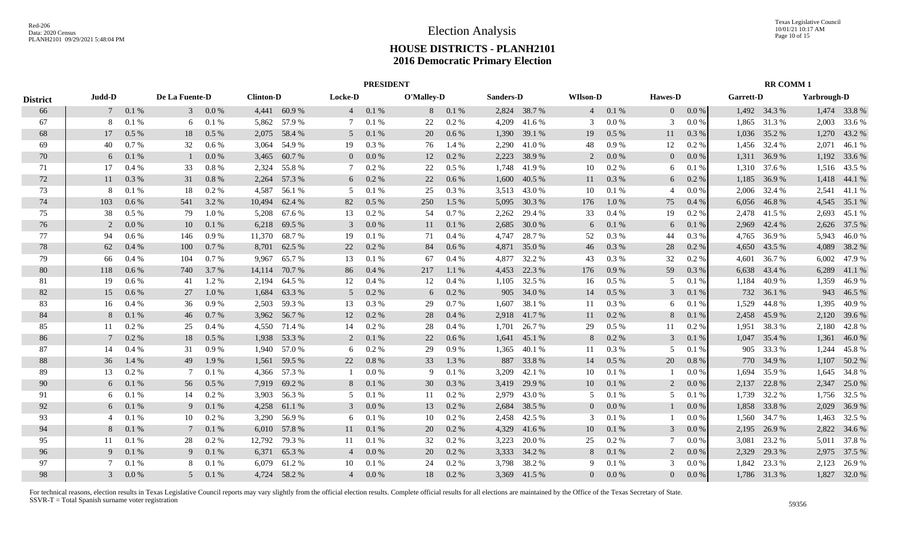|                 | <b>PRESIDENT</b> |         |                |           |                  |              |                 |         |            |          |           |              |                 | <b>RR COMM1</b> |                |          |           |              |             |              |
|-----------------|------------------|---------|----------------|-----------|------------------|--------------|-----------------|---------|------------|----------|-----------|--------------|-----------------|-----------------|----------------|----------|-----------|--------------|-------------|--------------|
| <b>District</b> | Judd-D           |         | De La Fuente-D |           | <b>Clinton-D</b> |              | Locke-D         |         | O'Malley-D |          | Sanders-D |              | <b>WIlson-D</b> |                 | <b>Hawes-D</b> |          | Garrett-D |              | Yarbrough-D |              |
| 66              | 7                | 0.1 %   |                | $30.0\%$  |                  | 4,441 60.9 % | $4\overline{ }$ | 0.1%    | 8          | 0.1 %    |           | 2,824 38.7 % | $\overline{4}$  | 0.1%            | $\overline{0}$ | $0.0\%$  |           | 1,492 34.3 % |             | 1,474 33.8 % |
| 67              | 8                | 0.1%    | 6              | 0.1%      | 5,862            | 57.9 %       | 7               | 0.1%    | 22         | 0.2 %    | 4,209     | 41.6%        | 3               | 0.0 %           | 3              | 0.0 %    | 1,865     | 31.3 %       | 2,003       | 33.6 %       |
| 68              | 17               | $0.5\%$ | 18             | $0.5\%$   | 2,075            | 58.4 %       | 5               | 0.1%    | 20         | $0.6\%$  | 1,390     | 39.1 %       | 19              | 0.5%            | 11             | 0.3 %    | 1,036     | 35.2 %       | 1,270       | 43.2 %       |
| 69              | 40               | 0.7%    | 32             | 0.6 %     | 3.064            | 54.9%        | 19              | 0.3 %   | 76         | 1.4 %    | 2,290     | 41.0%        | 48              | 0.9%            | 12             | $0.2 \%$ | 1,456     | 32.4 %       | 2,071       | 46.1%        |
| 70              | 6                | 0.1%    |                | 0.0 %     | 3,465            | 60.7%        | $\overline{0}$  | 0.0 %   | 12         | 0.2%     | 2,223     | 38.9%        | 2               | 0.0 %           | $\overline{0}$ | 0.0 %    | 1,311     | 36.9%        |             | 1,192 33.6 % |
| 71              | 17               | 0.4%    | 33             | $0.8~\%$  | 2.324            | 55.8%        | 7               | $0.2\%$ | 22         | 0.5 %    | 1,748     | 41.9%        | 10              | 0.2 %           | 6              | 0.1%     | 1,310     | 37.6 %       |             | 1,516 43.5 % |
| 72              | 11               | 0.3 %   | 31             | $0.8~\%$  | 2,264            | 57.3 %       | 6               | 0.2 %   | 22         | 0.6 %    | 1,600     | 40.5 %       | 11              | 0.3 %           | 6              | 0.2 %    | 1,185     | 36.9%        |             | 1,418 44.1 % |
| 73              | 8                | 0.1%    | 18             | 0.2 %     | 4,587            | 56.1 %       | 5               | 0.1%    | 25         | 0.3%     | 3,513     | 43.0%        | 10              | 0.1%            | $\overline{4}$ | 0.0 %    | 2,006     | 32.4 %       | 2,541       | 41.1 %       |
| 74              | 103              | 0.6%    | 541            | 3.2 %     | 10,494           | 62.4 %       | 82              | $0.5\%$ | 250        | 1.5 %    | 5,095     | 30.3 %       | 176             | 1.0%            | 75             | 0.4%     | 6,056     | 46.8%        |             | 4,545 35.1 % |
| 75              | 38               | $0.5\%$ | 79             | 1.0%      | 5,208            | 67.6 %       | 13              | 0.2 %   | 54         | 0.7%     | 2,262     | 29.4 %       | 33              | 0.4%            | 19             | 0.2 %    | 2,478     | 41.5 %       | 2,693       | 45.1 %       |
| 76              | 2                | 0.0 %   | 10             | 0.1%      | 6,218            | 69.5 %       | 3               | 0.0 %   | 11         | 0.1%     | 2,685     | 30.0 %       | 6               | 0.1%            | 6              | 0.1%     | 2,969     | 42.4 %       | 2,626       | 37.5 %       |
| 77              | 94               | 0.6 %   | 146            | 0.9 %     | 11,370           | 68.7%        | 19              | 0.1%    | 71         | 0.4%     | 4,747     | 28.7%        | 52              | 0.3%            | 44             | $0.3\%$  | 4,765     | 36.9 %       | 5,943       | 46.0%        |
| 78              | 62               | 0.4%    | 100            | 0.7%      | 8,701            | 62.5 %       | 22              | 0.2 %   | 84         | $0.6\%$  | 4,871     | 35.0%        | 46              | 0.3%            | 28             | $0.2 \%$ | 4,650     | 43.5 %       | 4,089       | 38.2 %       |
| 79              | 66               | 0.4%    | 104            | 0.7%      | 9,967            | 65.7%        | 13              | 0.1%    | 67         | 0.4%     | 4,877     | 32.2 %       | 43              | 0.3%            | 32             | $0.2\%$  | 4,601     | 36.7 %       | 6,002       | 47.9 %       |
| 80              | 118              | 0.6%    | 740            | 3.7 %     | 14,114           | 70.7 %       | 86              | 0.4%    | 217        | 1.1%     | 4,453     | 22.3 %       | 176             | 0.9%            | 59             | 0.3%     | 6,638     | 43.4 %       | 6,289       | 41.1 %       |
| 81              | 19               | 0.6 %   | 41             | 1.2%      | 2,194            | 64.5 %       | 12              | 0.4%    | 12         | 0.4%     | 1,105     | 32.5 %       | 16              | $0.5\%$         | 5              | 0.1%     | 1,184     | 40.9%        | 1,359       | 46.9%        |
| 82              | 15               | 0.6%    | 27             | $1.0\%$   | 1,684            | 63.3 %       | 5               | 0.2 %   | 6          | 0.2 %    | 905       | 34.0 %       | 14              | $0.5\%$         | 3              | 0.1%     | 732       | 36.1 %       |             | 943 46.5 %   |
| 83              | 16               | $0.4\%$ | 36             | 0.9 %     | 2,503            | 59.3 %       | 13              | $0.3\%$ | 29         | 0.7%     | 1,607     | 38.1 %       | 11              | 0.3 %           | 6              | 0.1%     | 1,529     | 44.8%        | 1,395       | 40.9%        |
| 84              | 8                | 0.1%    | 46             | 0.7 %     | 3,962            | 56.7 %       | 12              | 0.2 %   | 28         | 0.4%     | 2,918     | 41.7%        | 11              | $0.2 \%$        | 8              | 0.1%     | 2,458     | 45.9%        | 2,120       | 39.6 %       |
| 85              | 11               | 0.2 %   | 25             | 0.4 %     | 4,550            | 71.4 %       | 14              | $0.2\%$ | 28         | 0.4%     | 1,701     | 26.7%        | 29              | $0.5\%$         | 11             | $0.2 \%$ | 1,951     | 38.3 %       | 2,180       | 42.8%        |
| 86              |                  | 0.2%    | 18             | $0.5\%$   | 1,938            | 53.3 %       | 2               | 0.1%    | 22         | 0.6%     | 1,641     | 45.1 %       | 8               | $0.2 \%$        | 3              | 0.1%     | 1,047     | 35.4 %       | 1,361       | 46.0%        |
| 87              | 14               | 0.4%    | 31             | 0.9%      | 1,940            | 57.0 %       | 6               | $0.2\%$ | 29         | 0.9%     | 1,365     | 40.1 %       | 11              | 0.3 %           | 5              | 0.1%     | 905       | 33.3 %       | 1,244       | 45.8%        |
| 88              | 36               | 1.4 %   | 49             | 1.9 %     | 1,561            | 59.5 %       | 22              | 0.8 %   | 33         | 1.3 %    | 887       | 33.8%        | 14              | $0.5\ \%$       | 20             | 0.8%     | 770       | 34.9 %       | 1,107       | 50.2 %       |
| 89              | 13               | 0.2%    | 7              | 0.1%      | 4,366            | 57.3 %       |                 | 0.0 %   | 9          | 0.1%     | 3,209     | 42.1 %       | 10              | 0.1%            |                | 0.0 %    | 1,694     | 35.9%        | 1,645       | 34.8%        |
| 90              | 6                | 0.1%    | 56             | $0.5\ \%$ | 7,919            | 69.2 %       | 8               | 0.1%    | 30         | 0.3%     | 3,419     | 29.9%        | 10              | 0.1%            | 2              | 0.0 %    | 2,137     | 22.8 %       | 2,347       | 25.0 %       |
| 91              | 6                | 0.1%    | 14             | $0.2 \%$  | 3,903            | 56.3%        | 5               | 0.1%    | 11         | $0.2 \%$ | 2,979     | 43.0 %       | 5               | 0.1%            | 5              | 0.1%     | 1,739     | 32.2 %       |             | 1,756 32.5 % |
| 92              | 6                | 0.1%    | 9              | 0.1%      | 4,258            | 61.1 %       | 3               | 0.0 %   | 13         | $0.2\%$  | 2,684     | 38.5 %       | $\overline{0}$  | 0.0 %           |                | 0.0 %    | 1,858     | 33.8%        | 2,029       | 36.9%        |
| 93              | 4                | 0.1%    | 10             | $0.2 \%$  | 3,290            | 56.9%        | 6               | 0.1 %   | 10         | 0.2 %    | 2,458     | 42.5 %       | 3               | 0.1%            |                | 0.0 %    | 1,560     | 34.7 %       | 1,463       | 32.5 %       |
| 94              | 8                | 0.1%    | 7              | 0.1%      | 6,010            | 57.8%        | 11              | 0.1%    | 20         | $0.2\%$  | 4,329     | 41.6 %       | 10              | 0.1%            | 3              | $0.0\%$  | 2,195     | 26.9%        | 2,822       | 34.6 %       |
| 95              | 11               | 0.1%    | 28             | 0.2 %     | 12,792           | 79.3 %       | 11              | 0.1%    | 32         | $0.2\%$  | 3,223     | 20.0%        | 25              | 0.2 %           | 7              | 0.0 %    | 3,081     | 23.2 %       | 5,011       | 37.8%        |
| 96              | 9                | 0.1%    | 9              | 0.1%      | 6,371            | 65.3%        | $\overline{4}$  | 0.0 %   | 20         | $0.2\%$  | 3,333     | 34.2 %       | 8               | 0.1 %           | 2              | 0.0 %    | 2,329     | 29.3 %       |             | 2,975 37.5 % |
| 97              |                  | 0.1%    | 8              | 0.1%      | 6.079            | 61.2%        | 10              | 0.1%    | 24         | 0.2 %    | 3,798     | 38.2 %       | 9               | 0.1%            | 3              | $0.0\%$  | 1,842     | 23.3 %       | 2,123       | 26.9%        |
| 98              | $\mathfrak{Z}$   | 0.0 %   | 5 <sup>5</sup> | 0.1%      |                  | 4,724 58.2 % | $\overline{4}$  | 0.0 %   | 18         | $0.2\%$  |           | 3,369 41.5 % | $\overline{0}$  | $0.0\%$         | $\overline{0}$ | 0.0 %    |           | 1,786 31.3 % |             | 1,827 32.0 % |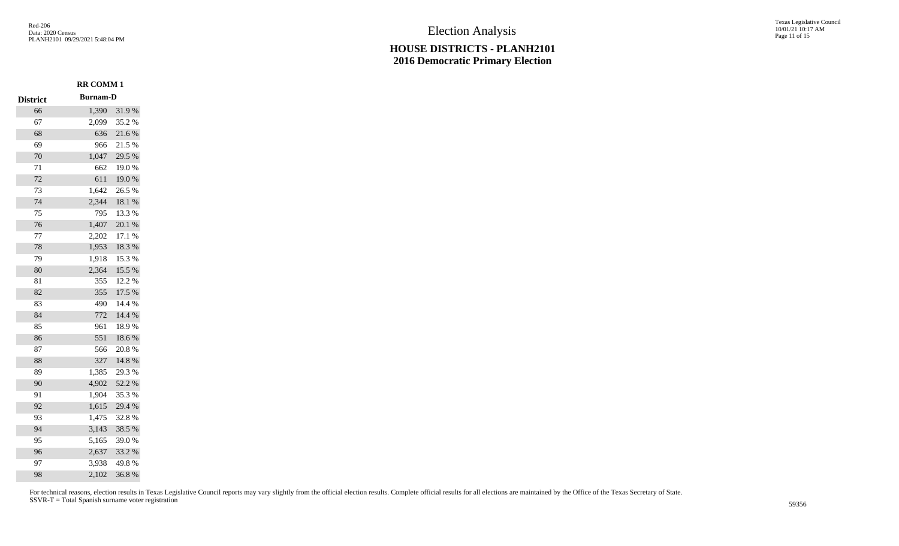П

П

П

## **HOUSE DISTRICTS - PLANH2101 2016 Democratic Primary Election**

Texas Legislative Council 10/01/21 10:17 AM Page 11 of 15

|                 | <b>RR COMM 1</b> |            |
|-----------------|------------------|------------|
| <b>District</b> | <b>Burnam-D</b>  |            |
| 66              | 1,390            | 31.9%      |
| 67              | 2,099            | 35.2%      |
| 68              | 636              | 21.6%      |
| 69              | 966              | 21.5 %     |
| 70              | 1,047            | 29.5 %     |
| $71\,$          | 662              | $19.0\ \%$ |
| 72              | 611              | 19.0%      |
| 73              | 1,642            | 26.5 %     |
| 74              | 2,344            | $18.1\ \%$ |
| 75              | 795              | 13.3 %     |
| 76              | 1,407            | $20.1~\%$  |
| 77              | 2,202            | $17.1~\%$  |
| 78              | 1,953            | 18.3 %     |
| 79              | 1,918            | 15.3 %     |
| 80              | 2,364            | 15.5 %     |
| 81              | 355              | 12.2 %     |
| 82              | 355              | 17.5 %     |
| 83              | 490              | 14.4 %     |
| 84              | 772              | 14.4 %     |
| 85              | 961              | 18.9%      |
| 86              | 551              | 18.6%      |
| 87              | 566              | $20.8~\%$  |
| 88              | 327              | 14.8 %     |
| 89              | 1,385            | 29.3 %     |
| 90              | 4,902            | 52.2 %     |
| 91              | 1,904            | 35.3%      |
| 92              | 1,615            | 29.4 %     |
| 93              | 1,475            | 32.8%      |
| 94              | 3,143            | 38.5 %     |
| 95              | 5,165            | 39.0%      |
| 96              | 2,637            | 33.2 %     |
| 97              | 3,938            | 49.8%      |
| 98              | 2,102            | 36.8%      |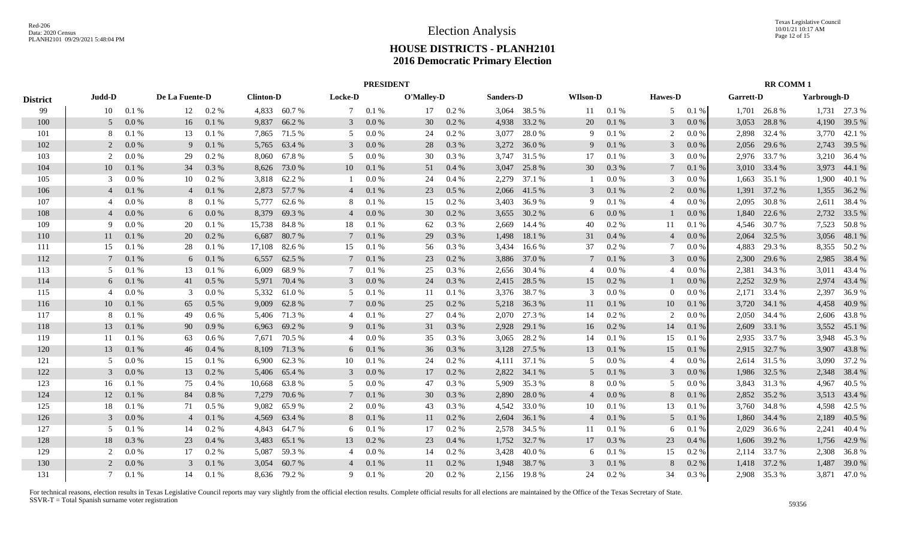|                 | <b>PRESIDENT</b> |           |                |         |                  |              |                 |           |            |       |           |              |                 | <b>RR COMM1</b> |                |       |                  |              |                    |              |
|-----------------|------------------|-----------|----------------|---------|------------------|--------------|-----------------|-----------|------------|-------|-----------|--------------|-----------------|-----------------|----------------|-------|------------------|--------------|--------------------|--------------|
| <b>District</b> | Judd-D           |           | De La Fuente-D |         | <b>Clinton-D</b> |              | Locke-D         |           | O'Malley-D |       | Sanders-D |              | <b>WIlson-D</b> |                 | <b>Hawes-D</b> |       | <b>Garrett-D</b> |              | <b>Yarbrough-D</b> |              |
| 99              | 10               | 0.1%      | 12             | 0.2 %   |                  | 4,833 60.7%  | $7\phantom{.0}$ | 0.1%      | 17         | 0.2 % |           | 3,064 38.5 % | 11              | 0.1%            | 5              | 0.1 % | 1,701            | 26.8%        |                    | 1,731 27.3 % |
| 100             | .5               | 0.0 %     | 16             | 0.1%    | 9,837            | 66.2%        | 3               | 0.0 %     | 30         | 0.2%  | 4,938     | 33.2 %       | 20              | 0.1 %           | 3              | 0.0 % | 3,053            | 28.8%        | 4,190              | 39.5 %       |
| 101             |                  | 0.1%      | 13             | 0.1%    | 7,865            | 71.5 %       | 5               | 0.0 %     | 24         | 0.2%  | 3,077     | 28.0%        | 9               | 0.1 %           | 2              | 0.0 % | 2,898            | 32.4 %       | 3,770              | 42.1 %       |
| 102             | 2                | 0.0 %     | 9              | 0.1%    | 5,765            | 63.4 %       | 3               | 0.0 %     | 28         | 0.3%  | 3,272     | 36.0%        | 9               | 0.1%            | 3              | 0.0 % | 2,056            | 29.6 %       | 2,743              | 39.5 %       |
| 103             | 2                | 0.0 %     | 29             | 0.2 %   | 8,060            | 67.8%        | 5               | 0.0 %     | 30         | 0.3%  | 3,747     | 31.5 %       | 17              | 0.1%            | 3              | 0.0 % | 2,976            | 33.7 %       | 3,210              | 36.4 %       |
| 104             | 10               | 0.1 %     | 34             | 0.3%    | 8,626            | 73.0 %       | 10              | 0.1 %     | 51         | 0.4%  | 3,047     | 25.8%        | 30              | $0.3~\%$        | 7              | 0.1%  | 3,010            | 33.4 %       | 3,973              | 44.1 %       |
| 105             |                  | 0.0 %     | 10             | 0.2 %   | 3,818            | 62.2%        |                 | $0.0\ \%$ | 24         | 0.4%  | 2,279     | 37.1 %       |                 | $0.0\ \%$       | 3              | 0.0 % | 1,663            | 35.1 %       | 1,900              | 40.1 %       |
| 106             | $\overline{4}$   | 0.1 %     | $\overline{4}$ | 0.1%    | 2,873            | 57.7 %       | $\overline{4}$  | 0.1 %     | 23         | 0.5 % | 2,066     | 41.5 %       | 3               | 0.1%            | 2              | 0.0 % | 1,391            | 37.2 %       | 1,355              | 36.2 %       |
| 107             |                  | 0.0 %     | 8              | 0.1%    | 5,777            | 62.6 %       | 8               | 0.1 %     | 15         | 0.2 % | 3,403     | 36.9%        | 9               | 0.1%            | $\overline{4}$ | 0.0 % | 2,095            | 30.8%        | 2,611              | 38.4 %       |
| 108             |                  | 0.0 %     | 6              | 0.0 %   | 8,379            | 69.3 %       | $\overline{4}$  | $0.0\,\%$ | 30         | 0.2 % | 3,655     | 30.2 %       | 6               | $0.0\ \%$       |                | 0.0 % | 1,840            | 22.6 %       | 2,732              | 33.5 %       |
| 109             | Q                | 0.0 %     | 20             | 0.1%    | 15,738           | 84.8%        | 18              | 0.1 %     | 62         | 0.3%  | 2,669     | 14.4 %       | 40              | $0.2~\%$        | 11             | 0.1%  | 4,546            | 30.7 %       | 7,523              | 50.8%        |
| 110             | 11               | 0.1 %     | 20             | 0.2 %   | 6,687            | 80.7%        | 7               | 0.1 %     | 29         | 0.3%  | 1,498     | 18.1 %       | 31              | $0.4~\%$        | $\overline{4}$ | 0.0 % | 2,064            | 32.5 %       | 3,056              | 48.1 %       |
| 111             | 15               | 0.1%      | 28             | 0.1%    | 17,108           | 82.6%        | 15              | 0.1 %     | 56         | 0.3 % | 3,434     | 16.6 %       | 37              | 0.2 %           | 7              | 0.0 % | 4,883            | 29.3 %       |                    | 8,355 50.2 % |
| 112             |                  | 0.1 %     | 6              | 0.1%    | 6,557            | 62.5 %       | $7\phantom{.0}$ | 0.1 %     | 23         | 0.2%  | 3,886     | 37.0%        | $7\phantom{.0}$ | $0.1\ \%$       | 3              | 0.0 % | 2,300            | 29.6 %       | 2,985              | 38.4 %       |
| 113             | -5               | 0.1 %     | 13             | 0.1%    | 6,009            | 68.9%        | 7               | 0.1%      | 25         | 0.3%  | 2,656     | 30.4 %       | $\overline{4}$  | $0.0\ \%$       | $\overline{4}$ | 0.0 % | 2,381            | 34.3 %       | 3,011              | 43.4 %       |
| 114             | 6                | 0.1 %     | 41             | $0.5\%$ | 5,971            | 70.4 %       | 3               | 0.0 %     | 24         | 0.3%  | 2,415     | 28.5 %       | 15              | 0.2 %           |                | 0.0 % | 2,252            | 32.9 %       | 2,974              | 43.4 %       |
| 115             |                  | 0.0 %     | 3              | 0.0 %   | 5,332            | 61.0%        | 5               | 0.1%      | 11         | 0.1%  | 3,376     | 38.7 %       | 3               | 0.0 %           | $\Omega$       | 0.0 % | 2,171            | 33.4 %       | 2,397              | 36.9%        |
| 116             | 10               | 0.1 %     | 65             | 0.5%    | 9,009            | 62.8%        | $7\phantom{.0}$ | 0.0 %     | 25         | 0.2%  | 5,218     | 36.3%        | 11              | $0.1\ \%$       | 10             | 0.1%  | 3,720            | 34.1 %       | 4,458              | 40.9%        |
| 117             | 8                | 0.1%      | 49             | 0.6%    | 5,406            | 71.3%        | $\overline{4}$  | 0.1%      | 27         | 0.4%  | 2,070     | 27.3 %       | 14              | $0.2~\%$        | 2              | 0.0 % | 2,050            | 34.4 %       | 2,606              | 43.8%        |
| 118             | 13               | 0.1%      | 90             | 0.9%    | 6,963            | 69.2%        | 9               | 0.1%      | 31         | 0.3%  | 2,928     | 29.1 %       | 16              | $0.2~\%$        | 14             | 0.1%  | 2,609            | 33.1 %       | 3,552              | 45.1 %       |
| 119             | 11               | 0.1%      | 63             | $0.6\%$ | 7,671            | 70.5 %       | $\overline{4}$  | 0.0 %     | 35         | 0.3%  | 3,065     | 28.2 %       | 14              | 0.1%            | 15             | 0.1%  | 2,935            | 33.7 %       | 3,948              | 45.3 %       |
| 120             | 13               | 0.1%      | 46             | 0.4%    | 8,109            | 71.3%        | 6               | 0.1 %     | 36         | 0.3%  | 3,128     | 27.5 %       | 13              | $0.1\ \%$       | 15             | 0.1%  | 2,915            | 32.7 %       | 3,907              | 43.8%        |
| 121             |                  | $0.0\ \%$ | 15             | 0.1%    | 6.900            | 62.3%        | 10              | 0.1%      | 24         | 0.2%  | 4,111     | 37.1 %       | $\overline{5}$  | 0.0 %           | $\overline{4}$ | 0.0 % | 2,614            | 31.5 %       | 3,090              | 37.2 %       |
| 122             | $\mathcal{E}$    | 0.0 %     | 13             | 0.2%    | 5,406            | 65.4 %       | 3               | 0.0 %     | 17         | 0.2%  | 2,822     | 34.1 %       | .5              | 0.1 %           | 3              | 0.0 % | 1,986            | 32.5 %       | 2,348              | 38.4 %       |
| 123             | 16               | 0.1%      | 75             | 0.4%    | 10,668           | 63.8%        | .5              | 0.0 %     | 47         | 0.3%  | 5,909     | 35.3 %       | 8               | 0.0 %           | .5             | 0.0 % | 3,843            | 31.3%        | 4,967              | 40.5 %       |
| 124             | 12               | 0.1%      | 84             | 0.8%    | 7,279            | 70.6%        | $7\phantom{.0}$ | 0.1%      | 30         | 0.3%  | 2,890     | 28.0%        | $\overline{4}$  | $0.0\ \%$       | 8              | 0.1%  | 2,852            | 35.2 %       | 3,513              | 43.4 %       |
| 125             | 18               | 0.1%      | 71             | 0.5%    | 9,082            | 65.9%        | 2               | 0.0 %     | 43         | 0.3%  | 4,542     | 33.0%        | 10              | 0.1%            | 13             | 0.1%  | 3,760            | 34.8%        | 4,598              | 42.5 %       |
| 126             | 3                | 0.0 %     | $\overline{4}$ | 0.1%    | 4,569            | 63.4 %       | 8               | 0.1%      | 11         | 0.2 % | 2,604     | 36.1 %       | $\overline{4}$  | 0.1%            | 5              | 0.1%  | 1.860            | 34.4 %       | 2,189              | 40.5 %       |
| 127             | .5               | 0.1%      | 14             | 0.2%    | 4,843            | 64.7%        | 6               | 0.1%      | 17         | 0.2%  | 2,578     | 34.5 %       | 11              | 0.1%            | 6              | 0.1%  | 2,029            | 36.6 %       | 2,241              | 40.4 %       |
| 128             | 18               | 0.3%      | 23             | 0.4%    | 3,483            | 65.1 %       | 13              | 0.2 %     | 23         | 0.4%  | 1,752     | 32.7 %       | 17              | 0.3%            | 23             | 0.4%  | 1,606            | 39.2 %       | 1,756              | 42.9%        |
| 129             |                  | $0.0\ \%$ | 17             | 0.2 %   | 5,087            | 59.3%        | $\overline{4}$  | 0.0 %     | 14         | 0.2 % | 3,428     | 40.0%        | 6               | 0.1%            | 15             | 0.2 % |                  | 2,114 33.7 % | 2,308              | 36.8%        |
| 130             |                  | 0.0 %     | 3              | 0.1%    | 3,054            | 60.7%        | $\overline{4}$  | 0.1%      | 11         | 0.2%  | 1,948     | 38.7%        | $\mathcal{E}$   | 0.1%            | 8              | 0.2 % | 1,418            | 37.2 %       | 1,487              | 39.0 %       |
| 131             | 7                | 0.1%      | 14             | 0.1%    |                  | 8,636 79.2 % | 9               | 0.1%      | 20         | 0.2 % | 2,156     | 19.8%        | 24              | 0.2 %           | 34             | 0.3%  |                  | 2,908 35.3 % |                    | 3,871 47.0 % |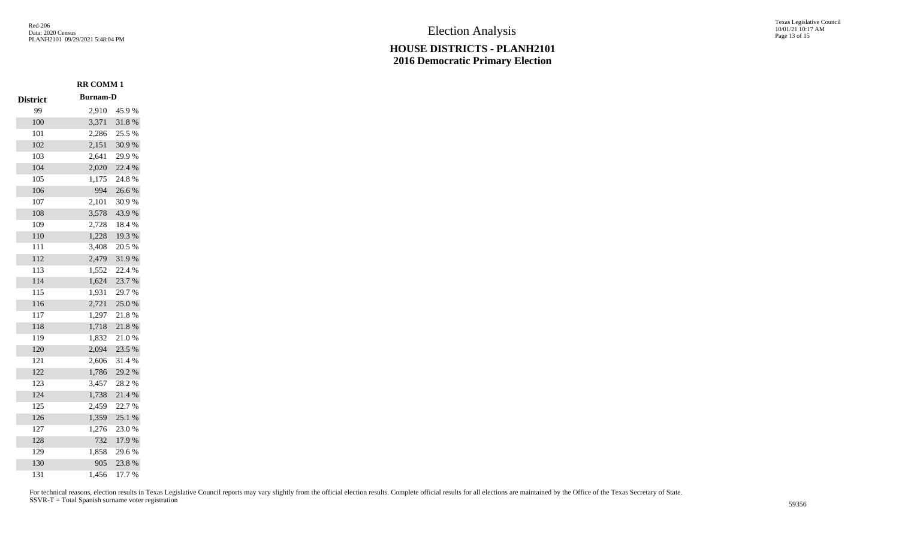П

П

П

П

**RR COMM 1**

## **HOUSE DISTRICTS - PLANH2101 2016 Democratic Primary Election**

Texas Legislative Council 10/01/21 10:17 AM Page 13 of 15

| <b>District</b> | <b>Burnam-D</b> |        |
|-----------------|-----------------|--------|
| 99              | 2,910           | 45.9%  |
| 100             | 3,371           | 31.8 % |
| 101             | 2,286           | 25.5 % |
| 102             | 2,151           | 30.9%  |
| 103             | 2,641           | 29.9%  |
| 104             | 2,020           | 22.4 % |
| 105             | 1,175           | 24.8%  |
| 106             | 994             | 26.6%  |
| 107             | 2,101           | 30.9%  |
| 108             | 3,578           | 43.9%  |
| 109             | 2,728           | 18.4 % |
| 110             | 1,228           | 19.3%  |
| 111             | 3,408           | 20.5 % |
| 112             | 2,479           | 31.9%  |
| 113             | 1,552           | 22.4 % |
| 114             | 1,624           | 23.7%  |
| 115             | 1,931           | 29.7 % |
| 116             | 2,721           | 25.0%  |
| 117             | 1,297           | 21.8%  |
| 118             | 1,718           | 21.8%  |
| 119             | 1,832           | 21.0%  |
| 120             | 2,094           | 23.5 % |
| 121             | 2,606           | 31.4 % |
| 122             | 1,786           | 29.2 % |
| 123             | 3,457           | 28.2%  |
| 124             | 1,738           | 21.4 % |
| 125             | 2,459           | 22.7 % |
| 126             | 1,359           | 25.1 % |
| 127             | 1,276           | 23.0%  |
| 128             | 732             | 17.9%  |
| 129             | 1,858           | 29.6%  |
| 130             | 905             | 23.8%  |
| 131             | 1,456           | 17.7 % |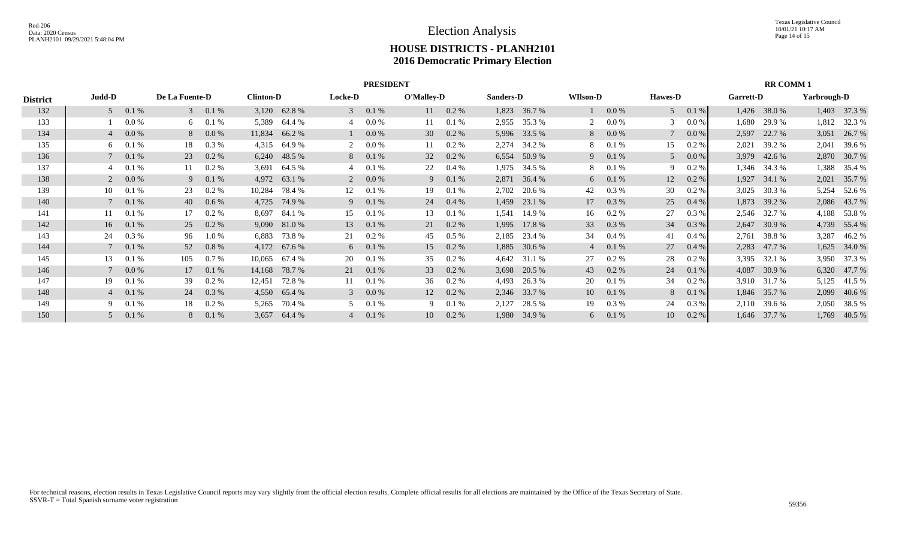|                 |                |       |                |          |                  |               |                | <b>PRESIDENT</b> |            |                |                  |              |                 |         |                |         |                  | <b>RR COMM 1</b> |             |              |
|-----------------|----------------|-------|----------------|----------|------------------|---------------|----------------|------------------|------------|----------------|------------------|--------------|-----------------|---------|----------------|---------|------------------|------------------|-------------|--------------|
| <b>District</b> | Judd-D         |       | De La Fuente-D |          | <b>Clinton-D</b> |               | <b>Locke-D</b> |                  | O'Malley-D |                | <b>Sanders-D</b> |              | <b>WIIson-D</b> |         | <b>Hawes-D</b> |         | <b>Garrett-D</b> |                  | Yarbrough-D |              |
| 132             | 5 <sup>7</sup> | 0.1%  | $\mathcal{E}$  | $0.1\%$  |                  | 3,120 62.8 %  | 3 <sup>1</sup> | 0.1 %            |            | $11 \t 0.2 \%$ | 1,823            | 36.7 %       |                 | 0.0 %   | 5 <sup>5</sup> | 0.1%    |                  | 1,426 38.0 %     |             | 1,403 37.3 % |
| 133             |                | 0.0 % | 6              | 0.1%     | 5,389            | 64.4 %        | 4              | 0.0 %            | 11         | 0.1%           | 2,955            | 35.3 %       | 2               | 0.0 %   | 3              | $0.0\%$ | 1.680            | 29.9 %           | 1,812       | 32.3 %       |
| 134             | $\overline{4}$ | 0.0 % | 8              | 0.0 %    |                  | 11,834 66.2 % |                | $0.0\%$          | 30         | $0.2 \%$       |                  | 5,996 33.5 % | 8               | $0.0\%$ |                | 0.0 %   | 2,597            | 22.7 %           | 3,051       | 26.7 %       |
| 135             | 6              | 0.1%  | 18             | $0.3\%$  | 4,315            | 64.9 %        | 2              | 0.0 %            | 11         | $0.2 \%$       | 2,274            | 34.2 %       | 8               | 0.1%    | 15             | $0.2\%$ | 2,021            | 39.2 %           | 2,041       | 39.6 %       |
| 136             |                | 0.1%  | 23             | $0.2\%$  |                  | 6,240 48.5 %  | 8              | 0.1%             | 32         | $0.2 \%$       | 6,554            | 50.9 %       | 9               | $0.1\%$ | $\overline{5}$ | 0.0 %   |                  | 3,979 42.6 %     |             | 2,870 30.7 % |
| 137             |                | 0.1%  | 11             | $0.2\%$  | 3,691            | 64.5 %        |                | 0.1%             | 22         | $0.4\%$        | 1,975            | 34.5 %       | 8               | 0.1%    | 9              | $0.2\%$ |                  | 1,346 34.3 %     | 1,388       | 35.4 %       |
| 138             |                | 0.0 % | 9              | 0.1%     |                  | 4,972 63.1 %  | 2              | 0.0 %            |            | 9 0.1 %        | 2,871            | 36.4 %       | 6               | 0.1%    | 12             | $0.2\%$ |                  | 1,927 34.1 %     | 2,021       | 35.7 %       |
| 139             | 10             | 0.1%  | 23             | 0.2 %    | 10,284           | 78.4 %        | 12             | 0.1%             | 19         | 0.1%           | 2,702            | 20.6 %       | 42              | 0.3 %   | 30             | 0.2 %   | 3,025            | 30.3 %           | 5,254       | 52.6 %       |
| 140             |                | 0.1%  | 40             | 0.6 %    | 4,725            | 74.9 %        | 9              | 0.1%             | 24         | $0.4\%$        | 1,459            | 23.1 %       | 17              | 0.3 %   | 25             | 0.4 %   |                  | 1,873 39.2 %     |             | 2,086 43.7 % |
| 141             | 11             | 0.1%  | 17             | 0.2 %    | 8,697            | 84.1 %        | 15             | 0.1%             | 13         | 0.1%           | 1,541            | 14.9 %       | 16              | 0.2 %   | 27             | $0.3\%$ |                  | 2,546 32.7 %     | 4,188       | 53.8%        |
| 142             | 16             | 0.1%  | 25             | $0.2 \%$ |                  | 9,090 81.0 %  | 13             | 0.1%             | 21         | $0.2 \%$       | 1,995            | 17.8 %       | 33              | 0.3 %   | 34             | 0.3 %   | 2,647            | 30.9 %           |             | 4,739 55.4 % |
| 143             | 24             | 0.3 % | 96             | $1.0\%$  | 6,883            | 73.8 %        | 21             | $0.2 \%$         | 45         | $0.5\%$        | 2,185            | 23.4 %       | 34              | $0.4\%$ | 41             | 0.4 %   | 2,761            | 38.8%            | 3,287       | 46.2%        |
| 144             |                | 0.1%  | 52             | 0.8 %    |                  | 4,172 67.6 %  | 6              | 0.1%             | 15         | $0.2 \%$       | 1,885            | 30.6 %       | $\overline{4}$  | 0.1%    | 27             | 0.4 %   | 2,283            | 47.7 %           | 1,625       | 34.0 %       |
| 145             | 13             | 0.1%  | 105            | 0.7 %    | 10,065           | 67.4 %        | 20             | 0.1%             | 35         | 0.2 %          | 4,642            | 31.1 %       | 27              | 0.2 %   | 28             | 0.2 %   | 3,395            | 32.1 %           | 3,950       | 37.3 %       |
| 146             |                | 0.0 % | 17             | 0.1%     | 14,168           | 78.7%         | 21             | 0.1%             | 33         | $0.2 \%$       | 3,698            | 20.5 %       | 43              | 0.2 %   | 24             | 0.1 %   | 4,087            | 30.9 %           |             | 6,320 47.7 % |
| 147             | 19             | 0.1%  | 39             | $0.2\%$  | 12,451           | 72.8%         | 11             | 0.1%             | 36         | $0.2 \%$       | 4,493            | 26.3 %       | 20              | 0.1%    | 34             | 0.2 %   |                  | 3,910 31.7 %     | 5,125       | 41.5 %       |
| 148             | $\overline{4}$ | 0.1%  | 24             | 0.3 %    |                  | 4,550 65.4 %  | $\mathcal{E}$  | 0.0 %            | 12         | $0.2\%$        |                  | 2,346 33.7 % | 10              | 0.1%    | 8              | 0.1 %   |                  | 1,846 35.7 %     | 2,099       | 40.6 %       |
| 149             |                | 0.1%  | 18             | 0.2 %    | 5,265            | 70.4 %        | 5              | 0.1%             | 9          | 0.1%           | 2,127            | 28.5 %       | 19              | 0.3 %   | 24             | $0.3\%$ |                  | 2,110 39.6 %     | 2,050       | 38.5 %       |
| 150             |                | 0.1%  | 8              | 0.1%     | 3,657            | 64.4 %        | $\overline{4}$ | 0.1%             | 10         | $0.2\%$        | 1,980            | 34.9 %       | 6               | 0.1%    | 10             | 0.2 %   |                  | 1,646 37.7 %     | 1,769       | 40.5 %       |